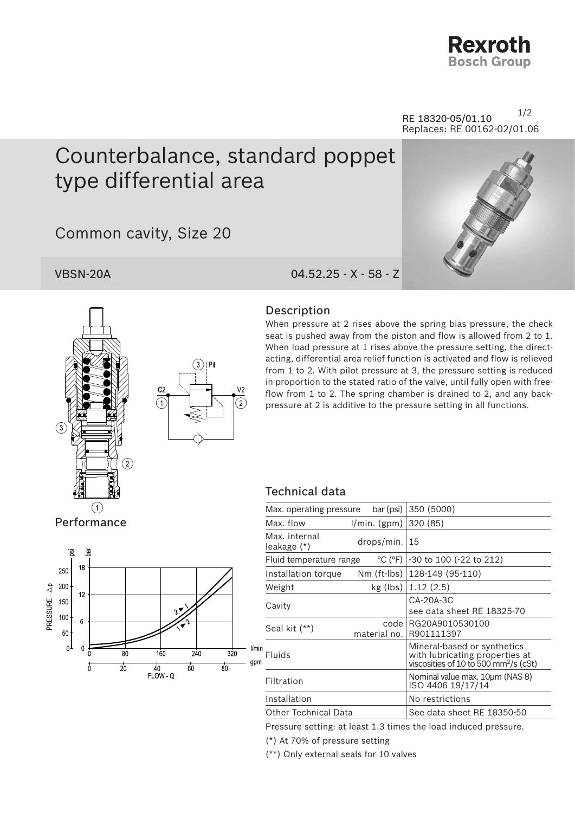

1/2 RE 18320-05/01.10 Replaces: RE 00162-02/01.06

## Counterbalance, standard poppet type differential area

Common cavity, Size 20

VBSN-20A 04.52.25 - X - 58 - Z





## Description

When pressure at 2 rises above the spring bias pressure, the check seat is pushed away from the piston and flow is allowed from 2 to 1. When load pressure at 1 rises above the pressure setting, the directacting, differential area relief function is activated and flow is relieved from 1 to 2. With pilot pressure at 3, the pressure setting is reduced in proportion to the stated ratio of the valve, until fully open with freeflow from 1 to 2. The spring chamber is drained to 2, and any backpressure at 2 is additive to the pressure setting in all functions.

## Technical data



| bar (psi)<br>Max. operating pressure |                       | 350 (5000)                                                                                                         |
|--------------------------------------|-----------------------|--------------------------------------------------------------------------------------------------------------------|
| Max. flow                            | 1/min. (gpm)          | 320 (85)                                                                                                           |
| Max. internal<br>leakage (*)         | drops/min.  15        |                                                                                                                    |
| Fluid temperature range              | °C (°F)               | -30 to 100 (-22 to 212)                                                                                            |
| Installation torque                  | Nm (ft-lbs)           | 128-149 (95-110)                                                                                                   |
| Weight                               | kg (lbs)              | 1.12(2.5)                                                                                                          |
| Cavity                               |                       | CA-20A-3C<br>see data sheet RE 18325-70                                                                            |
| Seal kit (**)                        | codel<br>material no. | RG20A9010530100<br>R901111397                                                                                      |
| <b>Fluids</b>                        |                       | Mineral-based or synthetics<br>with lubricating properties at<br>viscosities of 10 to 500 mm <sup>2</sup> /s (cSt) |
| Filtration                           |                       | Nominal value max. 10um (NAS 8)<br>ISO 4406 19/17/14                                                               |
| Installation                         |                       | No restrictions                                                                                                    |
| Other Technical Data                 |                       | See data sheet RE 18350-50                                                                                         |
|                                      |                       |                                                                                                                    |

Pressure setting: at least 1.3 times the load induced pressure.

(\*) At 70% of pressure setting

(\*\*) Only external seals for 10 valves